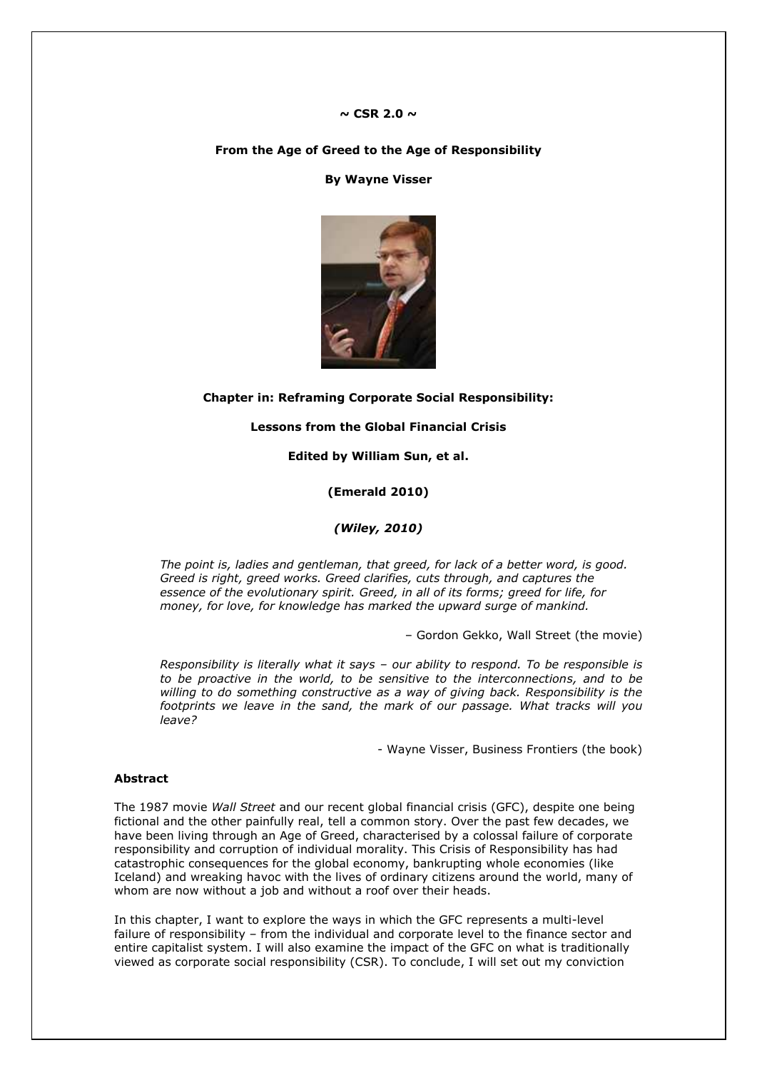#### **~ CSR 2.0 ~**

# **From the Age of Greed to the Age of Responsibility**

#### **By Wayne Visser**



## **Chapter in: Reframing Corporate Social Responsibility:**

# **Lessons from the Global Financial Crisis**

#### **Edited by William Sun, et al.**

# **(Emerald 2010)**

## *(Wiley, 2010)*

*The point is, ladies and gentleman, that greed, for lack of a better word, is good. Greed is right, greed works. Greed clarifies, cuts through, and captures the essence of the evolutionary spirit. Greed, in all of its forms; greed for life, for money, for love, for knowledge has marked the upward surge of mankind.*

– Gordon Gekko, Wall Street (the movie)

*Responsibility is literally what it says – our ability to respond. To be responsible is to be proactive in the world, to be sensitive to the interconnections, and to be willing to do something constructive as a way of giving back. Responsibility is the footprints we leave in the sand, the mark of our passage. What tracks will you leave?*

- Wayne Visser, Business Frontiers (the book)

# **Abstract**

The 1987 movie *Wall Street* and our recent global financial crisis (GFC), despite one being fictional and the other painfully real, tell a common story. Over the past few decades, we have been living through an Age of Greed, characterised by a colossal failure of corporate responsibility and corruption of individual morality. This Crisis of Responsibility has had catastrophic consequences for the global economy, bankrupting whole economies (like Iceland) and wreaking havoc with the lives of ordinary citizens around the world, many of whom are now without a job and without a roof over their heads.

In this chapter, I want to explore the ways in which the GFC represents a multi-level failure of responsibility – from the individual and corporate level to the finance sector and entire capitalist system. I will also examine the impact of the GFC on what is traditionally viewed as corporate social responsibility (CSR). To conclude, I will set out my conviction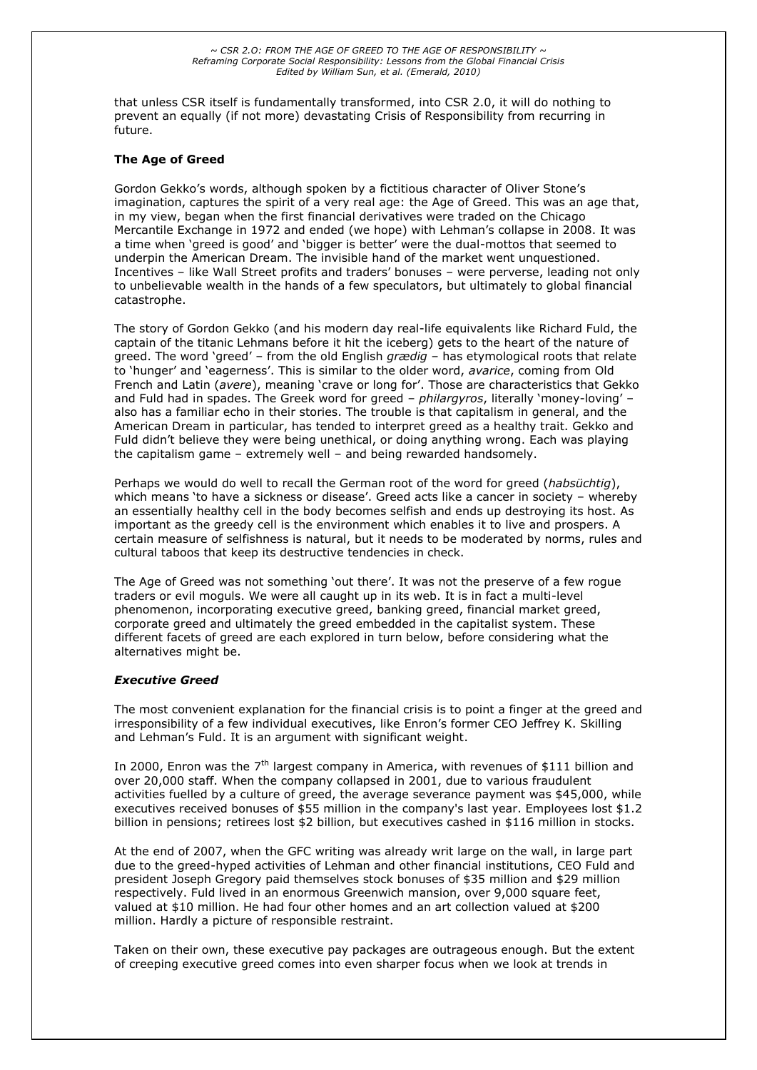that unless CSR itself is fundamentally transformed, into CSR 2.0, it will do nothing to prevent an equally (if not more) devastating Crisis of Responsibility from recurring in future.

# **The Age of Greed**

Gordon Gekko's words, although spoken by a fictitious character of Oliver Stone's imagination, captures the spirit of a very real age: the Age of Greed. This was an age that, in my view, began when the first financial derivatives were traded on the Chicago Mercantile Exchange in 1972 and ended (we hope) with Lehman's collapse in 2008. It was a time when 'greed is good' and 'bigger is better' were the dual-mottos that seemed to underpin the American Dream. The invisible hand of the market went unquestioned. Incentives – like Wall Street profits and traders' bonuses – were perverse, leading not only to unbelievable wealth in the hands of a few speculators, but ultimately to global financial catastrophe.

The story of Gordon Gekko (and his modern day real-life equivalents like Richard Fuld, the captain of the titanic Lehmans before it hit the iceberg) gets to the heart of the nature of greed. The word 'greed' – from the old English *grædig* – has etymological roots that relate to 'hunger' and 'eagerness'. This is similar to the older word, *avarice*, coming from Old French and Latin (*avere*), meaning 'crave or long for'. Those are characteristics that Gekko and Fuld had in spades. The Greek word for greed – *philargyros*, literally 'money-loving' – also has a familiar echo in their stories. The trouble is that capitalism in general, and the American Dream in particular, has tended to interpret greed as a healthy trait. Gekko and Fuld didn't believe they were being unethical, or doing anything wrong. Each was playing the capitalism game – extremely well – and being rewarded handsomely.

Perhaps we would do well to recall the German root of the word for greed (*habsüchtig*), which means 'to have a sickness or disease'. Greed acts like a cancer in society – whereby an essentially healthy cell in the body becomes selfish and ends up destroying its host. As important as the greedy cell is the environment which enables it to live and prospers. A certain measure of selfishness is natural, but it needs to be moderated by norms, rules and cultural taboos that keep its destructive tendencies in check.

The Age of Greed was not something 'out there'. It was not the preserve of a few rogue traders or evil moguls. We were all caught up in its web. It is in fact a multi-level phenomenon, incorporating executive greed, banking greed, financial market greed, corporate greed and ultimately the greed embedded in the capitalist system. These different facets of greed are each explored in turn below, before considering what the alternatives might be.

# *Executive Greed*

The most convenient explanation for the financial crisis is to point a finger at the greed and irresponsibility of a few individual executives, like Enron's former CEO Jeffrey K. Skilling and Lehman's Fuld. It is an argument with significant weight.

In 2000, Enron was the  $7<sup>th</sup>$  largest company in America, with revenues of \$111 billion and over 20,000 staff. When the company collapsed in 2001, due to various fraudulent activities fuelled by a culture of greed, the average severance payment was \$45,000, while executives received bonuses of \$55 million in the company's last year. Employees lost \$1.2 billion in pensions; retirees lost \$2 billion, but executives cashed in \$116 million in stocks.

At the end of 2007, when the GFC writing was already writ large on the wall, in large part due to the greed-hyped activities of Lehman and other financial institutions, CEO Fuld and president Joseph Gregory paid themselves stock bonuses of \$35 million and \$29 million respectively. Fuld lived in an enormous Greenwich mansion, over 9,000 square feet, valued at \$10 million. He had four other homes and an art collection valued at \$200 million. Hardly a picture of responsible restraint.

Taken on their own, these executive pay packages are outrageous enough. But the extent of creeping executive greed comes into even sharper focus when we look at trends in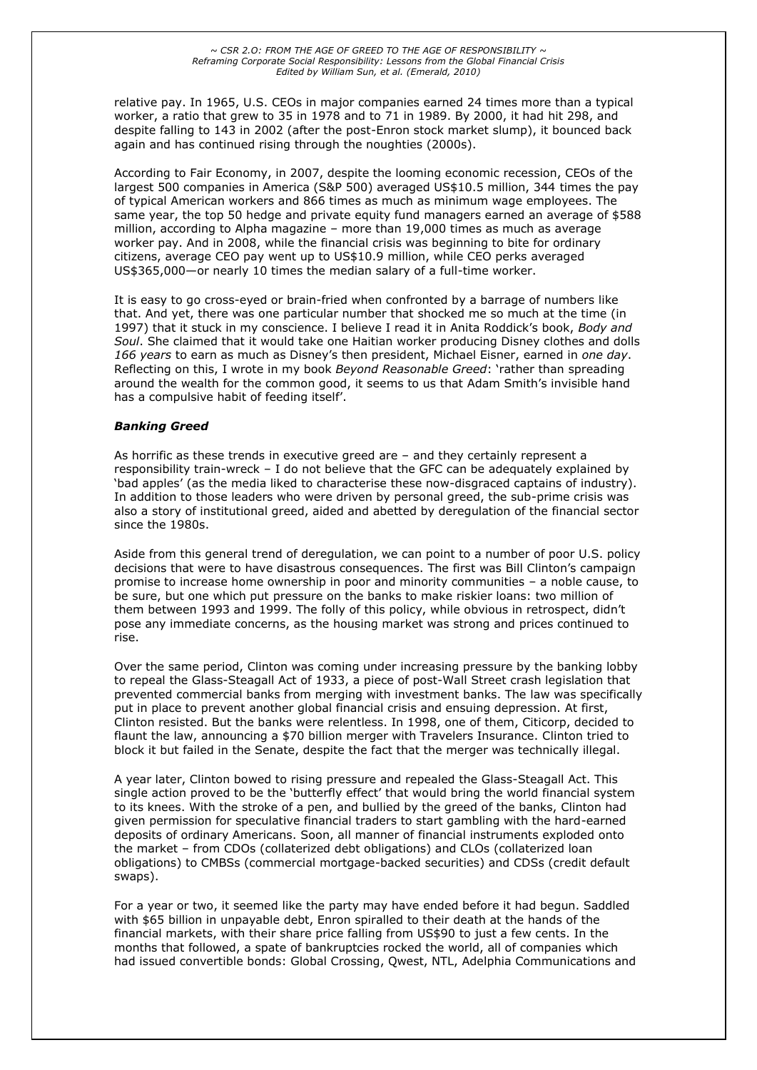relative pay. In 1965, U.S. CEOs in major companies earned 24 times more than a typical worker, a ratio that grew to 35 in 1978 and to 71 in 1989. By 2000, it had hit 298, and despite falling to 143 in 2002 (after the post-Enron stock market slump), it bounced back again and has continued rising through the noughties (2000s).

According to Fair Economy, in 2007, despite the looming economic recession, CEOs of the largest 500 companies in America (S&P 500) averaged US\$10.5 million, 344 times the pay of typical American workers and 866 times as much as minimum wage employees. The same year, the top 50 hedge and private equity fund managers earned an average of \$588 million, according to Alpha magazine – more than 19,000 times as much as average worker pay. And in 2008, while the financial crisis was beginning to bite for ordinary citizens, average CEO pay went up to US\$10.9 million, while CEO perks averaged US\$365,000—or nearly 10 times the median salary of a full-time worker.

It is easy to go cross-eyed or brain-fried when confronted by a barrage of numbers like that. And yet, there was one particular number that shocked me so much at the time (in 1997) that it stuck in my conscience. I believe I read it in Anita Roddick's book, *Body and Soul*. She claimed that it would take one Haitian worker producing Disney clothes and dolls *166 years* to earn as much as Disney's then president, Michael Eisner, earned in *one day*. Reflecting on this, I wrote in my book *Beyond Reasonable Greed*: 'rather than spreading around the wealth for the common good, it seems to us that Adam Smith's invisible hand has a compulsive habit of feeding itself'.

## *Banking Greed*

As horrific as these trends in executive greed are – and they certainly represent a responsibility train-wreck – I do not believe that the GFC can be adequately explained by 'bad apples' (as the media liked to characterise these now-disgraced captains of industry). In addition to those leaders who were driven by personal greed, the sub-prime crisis was also a story of institutional greed, aided and abetted by deregulation of the financial sector since the 1980s.

Aside from this general trend of deregulation, we can point to a number of poor U.S. policy decisions that were to have disastrous consequences. The first was Bill Clinton's campaign promise to increase home ownership in poor and minority communities – a noble cause, to be sure, but one which put pressure on the banks to make riskier loans: two million of them between 1993 and 1999. The folly of this policy, while obvious in retrospect, didn't pose any immediate concerns, as the housing market was strong and prices continued to rise.

Over the same period, Clinton was coming under increasing pressure by the banking lobby to repeal the Glass-Steagall Act of 1933, a piece of post-Wall Street crash legislation that prevented commercial banks from merging with investment banks. The law was specifically put in place to prevent another global financial crisis and ensuing depression. At first, Clinton resisted. But the banks were relentless. In 1998, one of them, Citicorp, decided to flaunt the law, announcing a \$70 billion merger with Travelers Insurance. Clinton tried to block it but failed in the Senate, despite the fact that the merger was technically illegal.

A year later, Clinton bowed to rising pressure and repealed the Glass-Steagall Act. This single action proved to be the 'butterfly effect' that would bring the world financial system to its knees. With the stroke of a pen, and bullied by the greed of the banks, Clinton had given permission for speculative financial traders to start gambling with the hard-earned deposits of ordinary Americans. Soon, all manner of financial instruments exploded onto the market – from CDOs (collaterized debt obligations) and CLOs (collaterized loan obligations) to CMBSs (commercial mortgage-backed securities) and CDSs (credit default swaps).

For a year or two, it seemed like the party may have ended before it had begun. Saddled with \$65 billion in unpayable debt, Enron spiralled to their death at the hands of the financial markets, with their share price falling from US\$90 to just a few cents. In the months that followed, a spate of bankruptcies rocked the world, all of companies which had issued convertible bonds: Global Crossing, Qwest, NTL, Adelphia Communications and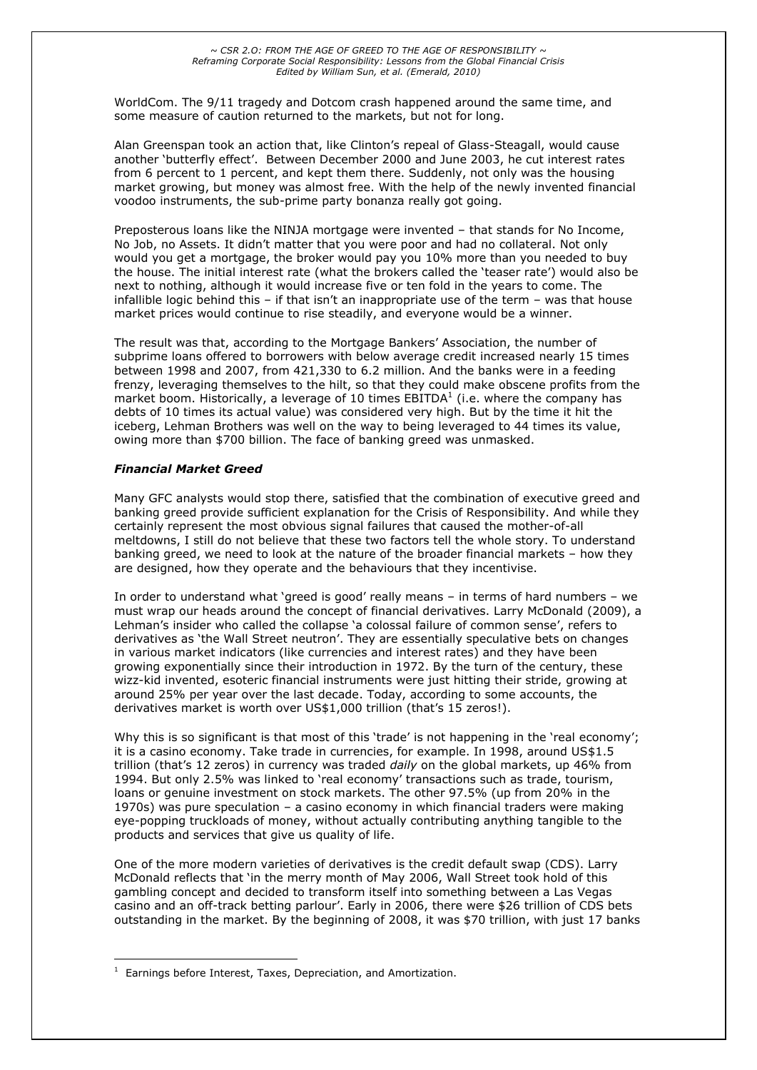WorldCom. The 9/11 tragedy and Dotcom crash happened around the same time, and some measure of caution returned to the markets, but not for long.

Alan Greenspan took an action that, like Clinton's repeal of Glass-Steagall, would cause another 'butterfly effect'. Between December 2000 and June 2003, he cut interest rates from 6 percent to 1 percent, and kept them there. Suddenly, not only was the housing market growing, but money was almost free. With the help of the newly invented financial voodoo instruments, the sub-prime party bonanza really got going.

Preposterous loans like the NINJA mortgage were invented – that stands for No Income, No Job, no Assets. It didn't matter that you were poor and had no collateral. Not only would you get a mortgage, the broker would pay you 10% more than you needed to buy the house. The initial interest rate (what the brokers called the 'teaser rate') would also be next to nothing, although it would increase five or ten fold in the years to come. The infallible logic behind this – if that isn't an inappropriate use of the term – was that house market prices would continue to rise steadily, and everyone would be a winner.

The result was that, according to the Mortgage Bankers' Association, the number of subprime loans offered to borrowers with below average credit increased nearly 15 times between 1998 and 2007, from 421,330 to 6.2 million. And the banks were in a feeding frenzy, leveraging themselves to the hilt, so that they could make obscene profits from the market boom. Historically, a leverage of 10 times  $EBITDA<sup>1</sup>$  (i.e. where the company has debts of 10 times its actual value) was considered very high. But by the time it hit the iceberg, Lehman Brothers was well on the way to being leveraged to 44 times its value, owing more than \$700 billion. The face of banking greed was unmasked.

## *Financial Market Greed*

 $\overline{a}$ 

Many GFC analysts would stop there, satisfied that the combination of executive greed and banking greed provide sufficient explanation for the Crisis of Responsibility. And while they certainly represent the most obvious signal failures that caused the mother-of-all meltdowns, I still do not believe that these two factors tell the whole story. To understand banking greed, we need to look at the nature of the broader financial markets – how they are designed, how they operate and the behaviours that they incentivise.

In order to understand what 'greed is good' really means – in terms of hard numbers – we must wrap our heads around the concept of financial derivatives. Larry McDonald (2009), a Lehman's insider who called the collapse 'a colossal failure of common sense', refers to derivatives as 'the Wall Street neutron'. They are essentially speculative bets on changes in various market indicators (like currencies and interest rates) and they have been growing exponentially since their introduction in 1972. By the turn of the century, these wizz-kid invented, esoteric financial instruments were just hitting their stride, growing at around 25% per year over the last decade. Today, according to some accounts, the derivatives market is worth over US\$1,000 trillion (that's 15 zeros!).

Why this is so significant is that most of this 'trade' is not happening in the 'real economy'; it is a casino economy. Take trade in currencies, for example. In 1998, around US\$1.5 trillion (that's 12 zeros) in currency was traded *daily* on the global markets, up 46% from 1994. But only 2.5% was linked to 'real economy' transactions such as trade, tourism, loans or genuine investment on stock markets. The other 97.5% (up from 20% in the 1970s) was pure speculation – a casino economy in which financial traders were making eye-popping truckloads of money, without actually contributing anything tangible to the products and services that give us quality of life.

One of the more modern varieties of derivatives is the credit default swap (CDS). Larry McDonald reflects that 'in the merry month of May 2006, Wall Street took hold of this gambling concept and decided to transform itself into something between a Las Vegas casino and an off-track betting parlour'. Early in 2006, there were \$26 trillion of CDS bets outstanding in the market. By the beginning of 2008, it was \$70 trillion, with just 17 banks

<sup>&</sup>lt;sup>1</sup> Earnings before Interest, Taxes, Depreciation, and Amortization.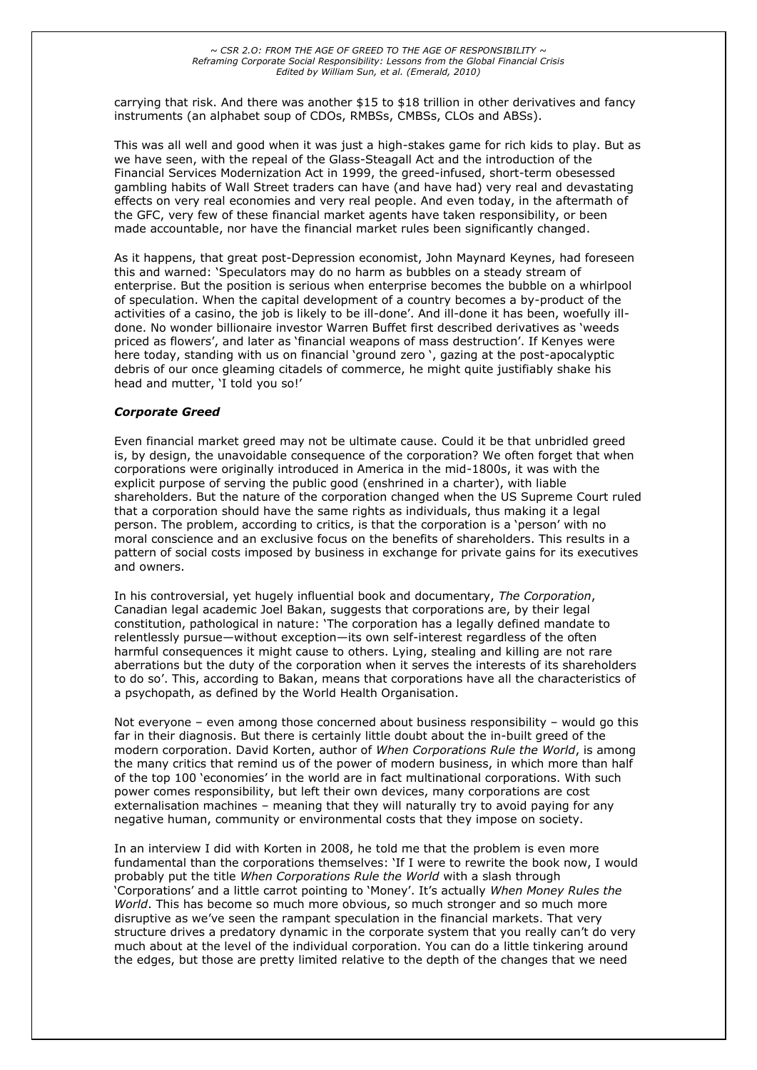carrying that risk. And there was another \$15 to \$18 trillion in other derivatives and fancy instruments (an alphabet soup of CDOs, RMBSs, CMBSs, CLOs and ABSs).

This was all well and good when it was just a high-stakes game for rich kids to play. But as we have seen, with the repeal of the Glass-Steagall Act and the introduction of the Financial Services Modernization Act in 1999, the greed-infused, short-term obesessed gambling habits of Wall Street traders can have (and have had) very real and devastating effects on very real economies and very real people. And even today, in the aftermath of the GFC, very few of these financial market agents have taken responsibility, or been made accountable, nor have the financial market rules been significantly changed.

As it happens, that great post-Depression economist, John Maynard Keynes, had foreseen this and warned: 'Speculators may do no harm as bubbles on a steady stream of enterprise. But the position is serious when enterprise becomes the bubble on a whirlpool of speculation. When the capital development of a country becomes a by-product of the activities of a casino, the job is likely to be ill-done'. And ill-done it has been, woefully illdone. No wonder billionaire investor Warren Buffet first described derivatives as 'weeds priced as flowers', and later as 'financial weapons of mass destruction'. If Kenyes were here today, standing with us on financial 'ground zero ', gazing at the post-apocalyptic debris of our once gleaming citadels of commerce, he might quite justifiably shake his head and mutter, 'I told you so!'

## *Corporate Greed*

Even financial market greed may not be ultimate cause. Could it be that unbridled greed is, by design, the unavoidable consequence of the corporation? We often forget that when corporations were originally introduced in America in the mid-1800s, it was with the explicit purpose of serving the public good (enshrined in a charter), with liable shareholders. But the nature of the corporation changed when the US Supreme Court ruled that a corporation should have the same rights as individuals, thus making it a legal person. The problem, according to critics, is that the corporation is a 'person' with no moral conscience and an exclusive focus on the benefits of shareholders. This results in a pattern of social costs imposed by business in exchange for private gains for its executives and owners.

In his controversial, yet hugely influential book and documentary, *The Corporation*, Canadian legal academic Joel Bakan, suggests that corporations are, by their legal constitution, pathological in nature: 'The corporation has a legally defined mandate to relentlessly pursue—without exception—its own self-interest regardless of the often harmful consequences it might cause to others. Lying, stealing and killing are not rare aberrations but the duty of the corporation when it serves the interests of its shareholders to do so'. This, according to Bakan, means that corporations have all the characteristics of a psychopath, as defined by the World Health Organisation.

Not everyone – even among those concerned about business responsibility – would go this far in their diagnosis. But there is certainly little doubt about the in-built greed of the modern corporation. David Korten, author of *When Corporations Rule the World*, is among the many critics that remind us of the power of modern business, in which more than half of the top 100 'economies' in the world are in fact multinational corporations. With such power comes responsibility, but left their own devices, many corporations are cost externalisation machines – meaning that they will naturally try to avoid paying for any negative human, community or environmental costs that they impose on society.

In an interview I did with Korten in 2008, he told me that the problem is even more fundamental than the corporations themselves: 'If I were to rewrite the book now, I would probably put the title *When Corporations Rule the World* with a slash through 'Corporations' and a little carrot pointing to 'Money'. It's actually *When Money Rules the World*. This has become so much more obvious, so much stronger and so much more disruptive as we've seen the rampant speculation in the financial markets. That very structure drives a predatory dynamic in the corporate system that you really can't do very much about at the level of the individual corporation. You can do a little tinkering around the edges, but those are pretty limited relative to the depth of the changes that we need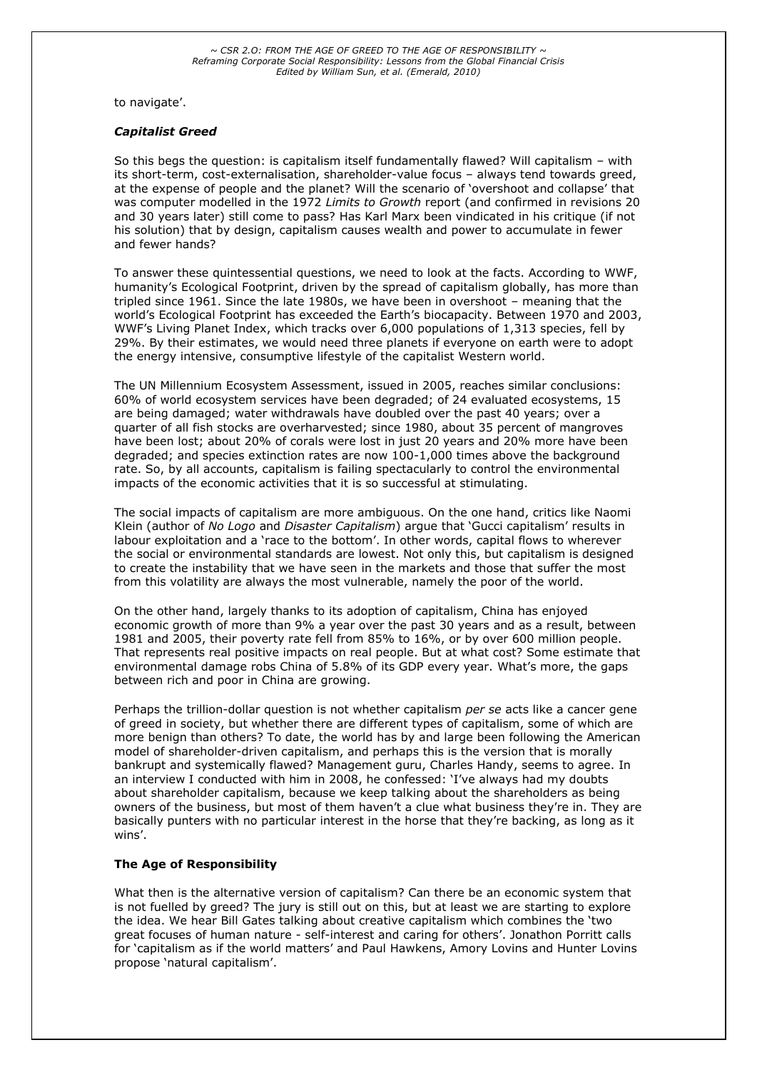to navigate'.

## *Capitalist Greed*

So this begs the question: is capitalism itself fundamentally flawed? Will capitalism – with its short-term, cost-externalisation, shareholder-value focus – always tend towards greed, at the expense of people and the planet? Will the scenario of 'overshoot and collapse' that was computer modelled in the 1972 *Limits to Growth* report (and confirmed in revisions 20 and 30 years later) still come to pass? Has Karl Marx been vindicated in his critique (if not his solution) that by design, capitalism causes wealth and power to accumulate in fewer and fewer hands?

To answer these quintessential questions, we need to look at the facts. According to WWF, humanity's Ecological Footprint, driven by the spread of capitalism globally, has more than tripled since 1961. Since the late 1980s, we have been in overshoot – meaning that the world's Ecological Footprint has exceeded the Earth's biocapacity. Between 1970 and 2003, WWF's Living Planet Index, which tracks over 6,000 populations of 1,313 species, fell by 29%. By their estimates, we would need three planets if everyone on earth were to adopt the energy intensive, consumptive lifestyle of the capitalist Western world.

The UN Millennium Ecosystem Assessment, issued in 2005, reaches similar conclusions: 60% of world ecosystem services have been degraded; of 24 evaluated ecosystems, 15 are being damaged; water withdrawals have doubled over the past 40 years; over a quarter of all fish stocks are overharvested; since 1980, about 35 percent of mangroves have been lost; about 20% of corals were lost in just 20 years and 20% more have been degraded; and species extinction rates are now 100-1,000 times above the background rate. So, by all accounts, capitalism is failing spectacularly to control the environmental impacts of the economic activities that it is so successful at stimulating.

The social impacts of capitalism are more ambiguous. On the one hand, critics like Naomi Klein (author of *No Logo* and *Disaster Capitalism*) argue that 'Gucci capitalism' results in labour exploitation and a 'race to the bottom'. In other words, capital flows to wherever the social or environmental standards are lowest. Not only this, but capitalism is designed to create the instability that we have seen in the markets and those that suffer the most from this volatility are always the most vulnerable, namely the poor of the world.

On the other hand, largely thanks to its adoption of capitalism, China has enjoyed economic growth of more than 9% a year over the past 30 years and as a result, between 1981 and 2005, their poverty rate fell from 85% to 16%, or by over 600 million people. That represents real positive impacts on real people. But at what cost? Some estimate that environmental damage robs China of 5.8% of its GDP every year. What's more, the gaps between rich and poor in China are growing.

Perhaps the trillion-dollar question is not whether capitalism *per se* acts like a cancer gene of greed in society, but whether there are different types of capitalism, some of which are more benign than others? To date, the world has by and large been following the American model of shareholder-driven capitalism, and perhaps this is the version that is morally bankrupt and systemically flawed? Management guru, Charles Handy, seems to agree. In an interview I conducted with him in 2008, he confessed: 'I've always had my doubts about shareholder capitalism, because we keep talking about the shareholders as being owners of the business, but most of them haven't a clue what business they're in. They are basically punters with no particular interest in the horse that they're backing, as long as it wins'.

# **The Age of Responsibility**

What then is the alternative version of capitalism? Can there be an economic system that is not fuelled by greed? The jury is still out on this, but at least we are starting to explore the idea. We hear Bill Gates talking about creative capitalism which combines the 'two great focuses of human nature - self-interest and caring for others'. Jonathon Porritt calls for 'capitalism as if the world matters' and Paul Hawkens, Amory Lovins and Hunter Lovins propose 'natural capitalism'.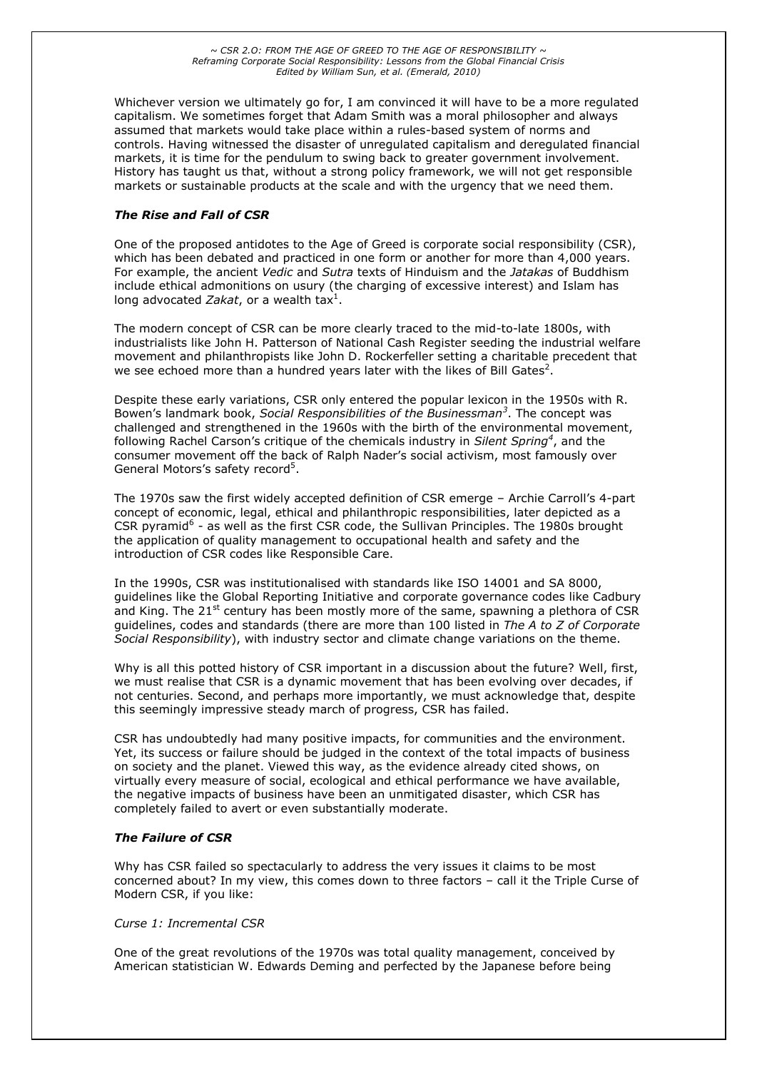Whichever version we ultimately go for, I am convinced it will have to be a more regulated capitalism. We sometimes forget that Adam Smith was a moral philosopher and always assumed that markets would take place within a rules-based system of norms and controls. Having witnessed the disaster of unregulated capitalism and deregulated financial markets, it is time for the pendulum to swing back to greater government involvement. History has taught us that, without a strong policy framework, we will not get responsible markets or sustainable products at the scale and with the urgency that we need them.

## *The Rise and Fall of CSR*

One of the proposed antidotes to the Age of Greed is corporate social responsibility (CSR), which has been debated and practiced in one form or another for more than 4,000 years. For example, the ancient *Vedic* and *Sutra* texts of Hinduism and the *Jatakas* of Buddhism include ethical admonitions on usury (the charging of excessive interest) and Islam has long advocated Zakat, or a wealth tax<sup>1</sup>.

The modern concept of CSR can be more clearly traced to the mid-to-late 1800s, with industrialists like John H. Patterson of National Cash Register seeding the industrial welfare movement and philanthropists like John D. Rockerfeller setting a charitable precedent that we see echoed more than a hundred years later with the likes of Bill Gates<sup>2</sup>.

Despite these early variations, CSR only entered the popular lexicon in the 1950s with R. Bowen's landmark book, *Social Responsibilities of the Businessman<sup>3</sup>* . The concept was challenged and strengthened in the 1960s with the birth of the environmental movement, following Rachel Carson's critique of the chemicals industry in *Silent Spring<sup>4</sup>* , and the consumer movement off the back of Ralph Nader's social activism, most famously over General Motors's safety record<sup>5</sup>.

The 1970s saw the first widely accepted definition of CSR emerge – Archie Carroll's 4-part concept of economic, legal, ethical and philanthropic responsibilities, later depicted as a CSR pyramid<sup>6</sup> - as well as the first CSR code, the Sullivan Principles. The 1980s brought the application of quality management to occupational health and safety and the introduction of CSR codes like Responsible Care.

In the 1990s, CSR was institutionalised with standards like ISO 14001 and SA 8000, guidelines like the Global Reporting Initiative and corporate governance codes like Cadbury and King. The  $21^{st}$  century has been mostly more of the same, spawning a plethora of CSR guidelines, codes and standards (there are more than 100 listed in *The A to Z of Corporate Social Responsibility*), with industry sector and climate change variations on the theme.

Why is all this potted history of CSR important in a discussion about the future? Well, first, we must realise that CSR is a dynamic movement that has been evolving over decades, if not centuries. Second, and perhaps more importantly, we must acknowledge that, despite this seemingly impressive steady march of progress, CSR has failed.

CSR has undoubtedly had many positive impacts, for communities and the environment. Yet, its success or failure should be judged in the context of the total impacts of business on society and the planet. Viewed this way, as the evidence already cited shows, on virtually every measure of social, ecological and ethical performance we have available, the negative impacts of business have been an unmitigated disaster, which CSR has completely failed to avert or even substantially moderate.

# *The Failure of CSR*

Why has CSR failed so spectacularly to address the very issues it claims to be most concerned about? In my view, this comes down to three factors – call it the Triple Curse of Modern CSR, if you like:

# *Curse 1: Incremental CSR*

One of the great revolutions of the 1970s was total quality management, conceived by American statistician W. Edwards Deming and perfected by the Japanese before being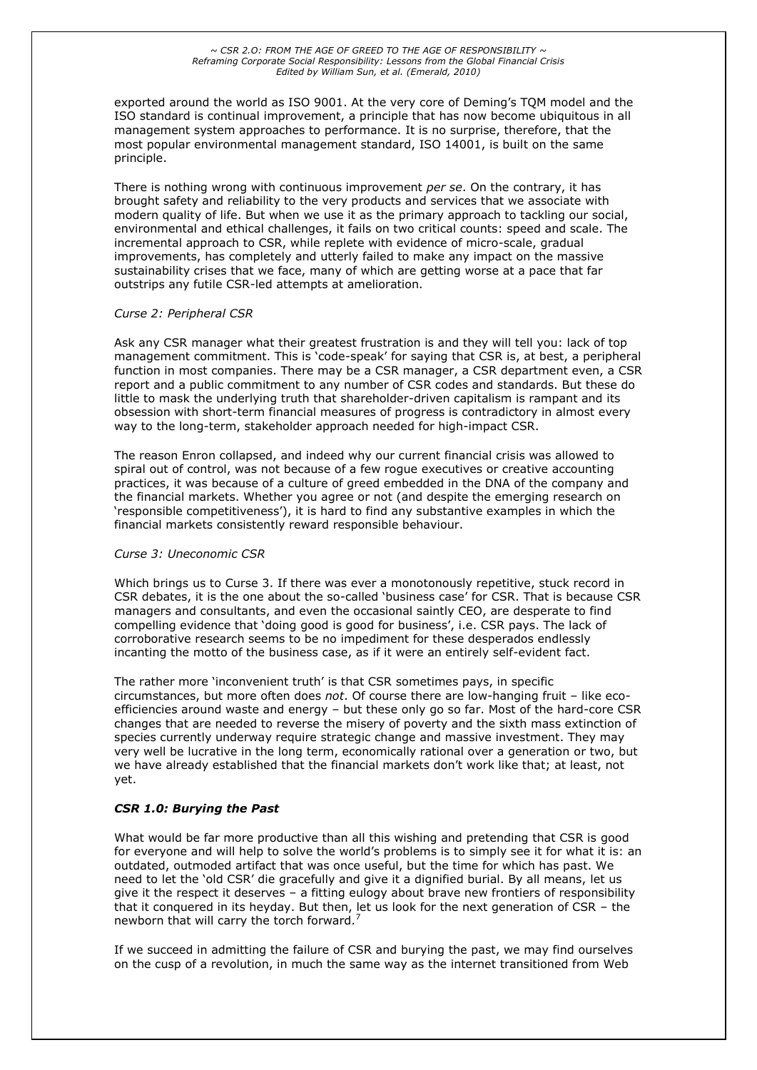exported around the world as ISO 9001. At the very core of Deming's TQM model and the ISO standard is continual improvement, a principle that has now become ubiquitous in all management system approaches to performance. It is no surprise, therefore, that the most popular environmental management standard, ISO 14001, is built on the same principle.

There is nothing wrong with continuous improvement *per se*. On the contrary, it has brought safety and reliability to the very products and services that we associate with modern quality of life. But when we use it as the primary approach to tackling our social, environmental and ethical challenges, it fails on two critical counts: speed and scale. The incremental approach to CSR, while replete with evidence of micro-scale, gradual improvements, has completely and utterly failed to make any impact on the massive sustainability crises that we face, many of which are getting worse at a pace that far outstrips any futile CSR-led attempts at amelioration.

#### *Curse 2: Peripheral CSR*

Ask any CSR manager what their greatest frustration is and they will tell you: lack of top management commitment. This is 'code-speak' for saying that CSR is, at best, a peripheral function in most companies. There may be a CSR manager, a CSR department even, a CSR report and a public commitment to any number of CSR codes and standards. But these do little to mask the underlying truth that shareholder-driven capitalism is rampant and its obsession with short-term financial measures of progress is contradictory in almost every way to the long-term, stakeholder approach needed for high-impact CSR.

The reason Enron collapsed, and indeed why our current financial crisis was allowed to spiral out of control, was not because of a few rogue executives or creative accounting practices, it was because of a culture of greed embedded in the DNA of the company and the financial markets. Whether you agree or not (and despite the emerging research on 'responsible competitiveness'), it is hard to find any substantive examples in which the financial markets consistently reward responsible behaviour.

#### *Curse 3: Uneconomic CSR*

Which brings us to Curse 3. If there was ever a monotonously repetitive, stuck record in CSR debates, it is the one about the so-called 'business case' for CSR. That is because CSR managers and consultants, and even the occasional saintly CEO, are desperate to find compelling evidence that 'doing good is good for business', i.e. CSR pays. The lack of corroborative research seems to be no impediment for these desperados endlessly incanting the motto of the business case, as if it were an entirely self-evident fact.

The rather more 'inconvenient truth' is that CSR sometimes pays, in specific circumstances, but more often does *not*. Of course there are low-hanging fruit – like ecoefficiencies around waste and energy – but these only go so far. Most of the hard-core CSR changes that are needed to reverse the misery of poverty and the sixth mass extinction of species currently underway require strategic change and massive investment. They may very well be lucrative in the long term, economically rational over a generation or two, but we have already established that the financial markets don't work like that; at least, not yet.

#### *CSR 1.0: Burying the Past*

What would be far more productive than all this wishing and pretending that CSR is good for everyone and will help to solve the world's problems is to simply see it for what it is: an outdated, outmoded artifact that was once useful, but the time for which has past. We need to let the 'old CSR' die gracefully and give it a dignified burial. By all means, let us give it the respect it deserves – a fitting eulogy about brave new frontiers of responsibility that it conquered in its heyday. But then, let us look for the next generation of CSR – the newborn that will carry the torch forward.<sup>7</sup>

If we succeed in admitting the failure of CSR and burying the past, we may find ourselves on the cusp of a revolution, in much the same way as the internet transitioned from Web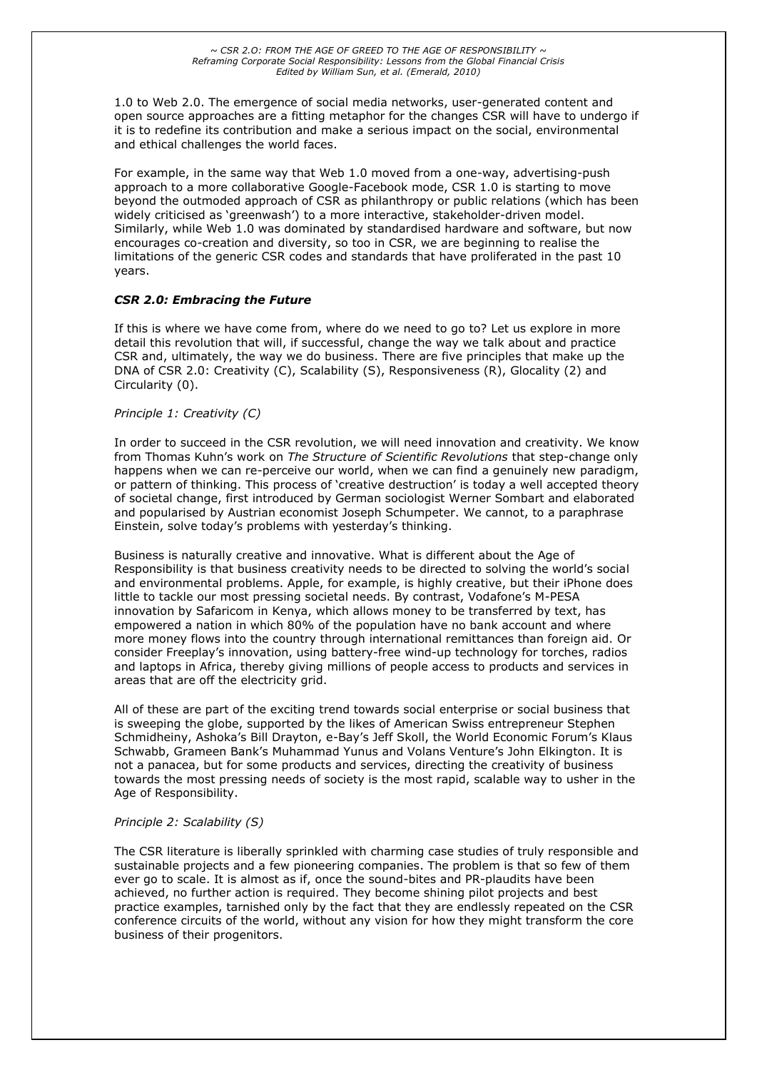1.0 to Web 2.0. The emergence of social media networks, user-generated content and open source approaches are a fitting metaphor for the changes CSR will have to undergo if it is to redefine its contribution and make a serious impact on the social, environmental and ethical challenges the world faces.

For example, in the same way that Web 1.0 moved from a one-way, advertising-push approach to a more collaborative Google-Facebook mode, CSR 1.0 is starting to move beyond the outmoded approach of CSR as philanthropy or public relations (which has been widely criticised as 'greenwash') to a more interactive, stakeholder-driven model. Similarly, while Web 1.0 was dominated by standardised hardware and software, but now encourages co-creation and diversity, so too in CSR, we are beginning to realise the limitations of the generic CSR codes and standards that have proliferated in the past 10 years.

# *CSR 2.0: Embracing the Future*

If this is where we have come from, where do we need to go to? Let us explore in more detail this revolution that will, if successful, change the way we talk about and practice CSR and, ultimately, the way we do business. There are five principles that make up the DNA of CSR 2.0: Creativity (C), Scalability (S), Responsiveness (R), Glocality (2) and Circularity (0).

## *Principle 1: Creativity (C)*

In order to succeed in the CSR revolution, we will need innovation and creativity. We know from Thomas Kuhn's work on *The Structure of Scientific Revolutions* that step-change only happens when we can re-perceive our world, when we can find a genuinely new paradigm, or pattern of thinking. This process of 'creative destruction' is today a well accepted theory of societal change, first introduced by German sociologist Werner Sombart and elaborated and popularised by Austrian economist Joseph Schumpeter. We cannot, to a paraphrase Einstein, solve today's problems with yesterday's thinking.

Business is naturally creative and innovative. What is different about the Age of Responsibility is that business creativity needs to be directed to solving the world's social and environmental problems. Apple, for example, is highly creative, but their iPhone does little to tackle our most pressing societal needs. By contrast, Vodafone's M-PESA innovation by Safaricom in Kenya, which allows money to be transferred by text, has empowered a nation in which 80% of the population have no bank account and where more money flows into the country through international remittances than foreign aid. Or consider Freeplay's innovation, using battery-free wind-up technology for torches, radios and laptops in Africa, thereby giving millions of people access to products and services in areas that are off the electricity grid.

All of these are part of the exciting trend towards social enterprise or social business that is sweeping the globe, supported by the likes of American Swiss entrepreneur Stephen Schmidheiny, Ashoka's Bill Drayton, e-Bay's Jeff Skoll, the World Economic Forum's Klaus Schwabb, Grameen Bank's Muhammad Yunus and Volans Venture's John Elkington. It is not a panacea, but for some products and services, directing the creativity of business towards the most pressing needs of society is the most rapid, scalable way to usher in the Age of Responsibility.

#### *Principle 2: Scalability (S)*

The CSR literature is liberally sprinkled with charming case studies of truly responsible and sustainable projects and a few pioneering companies. The problem is that so few of them ever go to scale. It is almost as if, once the sound-bites and PR-plaudits have been achieved, no further action is required. They become shining pilot projects and best practice examples, tarnished only by the fact that they are endlessly repeated on the CSR conference circuits of the world, without any vision for how they might transform the core business of their progenitors.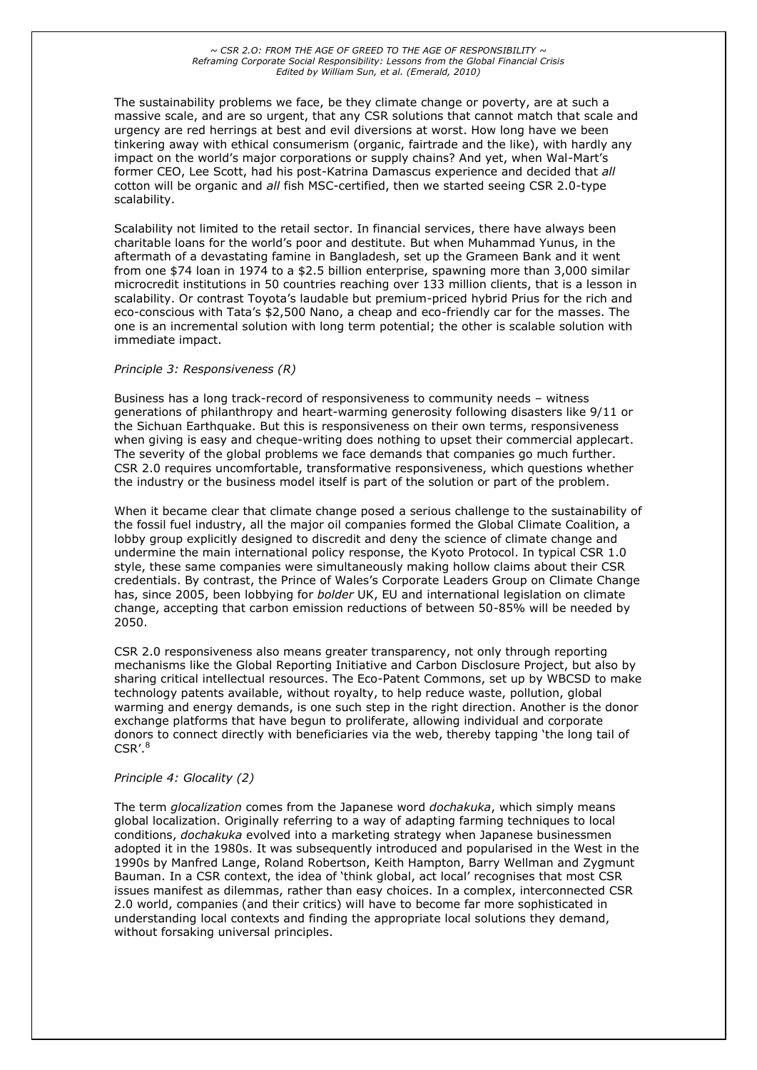The sustainability problems we face, be they climate change or poverty, are at such a massive scale, and are so urgent, that any CSR solutions that cannot match that scale and urgency are red herrings at best and evil diversions at worst. How long have we been tinkering away with ethical consumerism (organic, fairtrade and the like), with hardly any impact on the world's major corporations or supply chains? And yet, when Wal-Mart's former CEO, Lee Scott, had his post-Katrina Damascus experience and decided that *all* cotton will be organic and *all* fish MSC-certified, then we started seeing CSR 2.0-type scalability.

Scalability not limited to the retail sector. In financial services, there have always been charitable loans for the world's poor and destitute. But when Muhammad Yunus, in the aftermath of a devastating famine in Bangladesh, set up the Grameen Bank and it went from one \$74 loan in 1974 to a \$2.5 billion enterprise, spawning more than 3,000 similar microcredit institutions in 50 countries reaching over 133 million clients, that is a lesson in scalability. Or contrast Toyota's laudable but premium-priced hybrid Prius for the rich and eco-conscious with Tata's \$2,500 Nano, a cheap and eco-friendly car for the masses. The one is an incremental solution with long term potential; the other is scalable solution with immediate impact.

## *Principle 3: Responsiveness (R)*

Business has a long track-record of responsiveness to community needs – witness generations of philanthropy and heart-warming generosity following disasters like 9/11 or the Sichuan Earthquake. But this is responsiveness on their own terms, responsiveness when giving is easy and cheque-writing does nothing to upset their commercial applecart. The severity of the global problems we face demands that companies go much further. CSR 2.0 requires uncomfortable, transformative responsiveness, which questions whether the industry or the business model itself is part of the solution or part of the problem.

When it became clear that climate change posed a serious challenge to the sustainability of the fossil fuel industry, all the major oil companies formed the Global Climate Coalition, a lobby group explicitly designed to discredit and deny the science of climate change and undermine the main international policy response, the Kyoto Protocol. In typical CSR 1.0 style, these same companies were simultaneously making hollow claims about their CSR credentials. By contrast, the Prince of Wales's Corporate Leaders Group on Climate Change has, since 2005, been lobbying for *bolder* UK, EU and international legislation on climate change, accepting that carbon emission reductions of between 50-85% will be needed by 2050.

CSR 2.0 responsiveness also means greater transparency, not only through reporting mechanisms like the Global Reporting Initiative and Carbon Disclosure Project, but also by sharing critical intellectual resources. The Eco-Patent Commons, set up by WBCSD to make technology patents available, without royalty, to help reduce waste, pollution, global warming and energy demands, is one such step in the right direction. Another is the donor exchange platforms that have begun to proliferate, allowing individual and corporate donors to connect directly with beneficiaries via the web, thereby tapping 'the long tail of CSR'.<sup>8</sup>

# *Principle 4: Glocality (2)*

The term *glocalization* comes from the Japanese word *dochakuka*, which simply means global localization. Originally referring to a way of adapting farming techniques to local conditions, *dochakuka* evolved into a marketing strategy when Japanese businessmen adopted it in the 1980s. It was subsequently introduced and popularised in the West in the 1990s by Manfred Lange, Roland Robertson, Keith Hampton, Barry Wellman and Zygmunt Bauman. In a CSR context, the idea of 'think global, act local' recognises that most CSR issues manifest as dilemmas, rather than easy choices. In a complex, interconnected CSR 2.0 world, companies (and their critics) will have to become far more sophisticated in understanding local contexts and finding the appropriate local solutions they demand, without forsaking universal principles.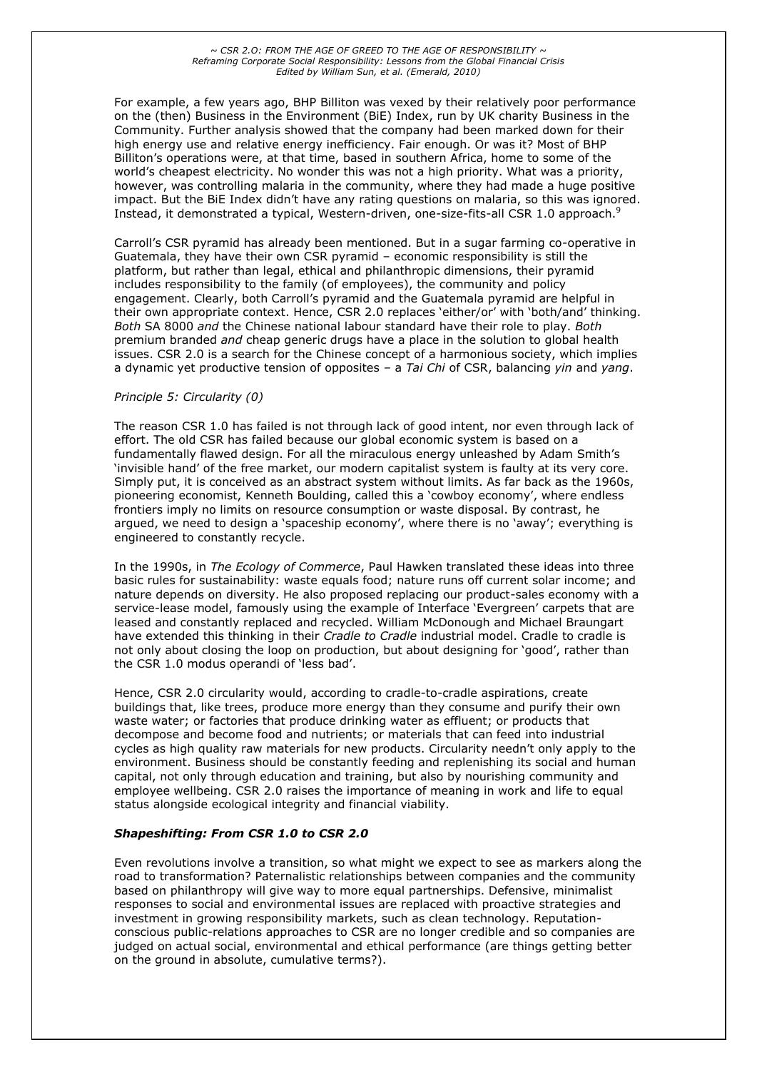For example, a few years ago, BHP Billiton was vexed by their relatively poor performance on the (then) Business in the Environment (BiE) Index, run by UK charity Business in the Community. Further analysis showed that the company had been marked down for their high energy use and relative energy inefficiency. Fair enough. Or was it? Most of BHP Billiton's operations were, at that time, based in southern Africa, home to some of the world's cheapest electricity. No wonder this was not a high priority. What was a priority, however, was controlling malaria in the community, where they had made a huge positive impact. But the BiE Index didn't have any rating questions on malaria, so this was ignored. Instead, it demonstrated a typical, Western-driven, one-size-fits-all CSR 1.0 approach.<sup>9</sup>

Carroll's CSR pyramid has already been mentioned. But in a sugar farming co-operative in Guatemala, they have their own CSR pyramid – economic responsibility is still the platform, but rather than legal, ethical and philanthropic dimensions, their pyramid includes responsibility to the family (of employees), the community and policy engagement. Clearly, both Carroll's pyramid and the Guatemala pyramid are helpful in their own appropriate context. Hence, CSR 2.0 replaces 'either/or' with 'both/and' thinking. *Both* SA 8000 *and* the Chinese national labour standard have their role to play. *Both* premium branded *and* cheap generic drugs have a place in the solution to global health issues. CSR 2.0 is a search for the Chinese concept of a harmonious society, which implies a dynamic yet productive tension of opposites – a *Tai Chi* of CSR, balancing *yin* and *yang*.

## *Principle 5: Circularity (0)*

The reason CSR 1.0 has failed is not through lack of good intent, nor even through lack of effort. The old CSR has failed because our global economic system is based on a fundamentally flawed design. For all the miraculous energy unleashed by Adam Smith's 'invisible hand' of the free market, our modern capitalist system is faulty at its very core. Simply put, it is conceived as an abstract system without limits. As far back as the 1960s, pioneering economist, Kenneth Boulding, called this a 'cowboy economy', where endless frontiers imply no limits on resource consumption or waste disposal. By contrast, he argued, we need to design a 'spaceship economy', where there is no 'away'; everything is engineered to constantly recycle.

In the 1990s, in *The Ecology of Commerce*, Paul Hawken translated these ideas into three basic rules for sustainability: waste equals food; nature runs off current solar income; and nature depends on diversity. He also proposed replacing our product-sales economy with a service-lease model, famously using the example of Interface 'Evergreen' carpets that are leased and constantly replaced and recycled. William McDonough and Michael Braungart have extended this thinking in their *Cradle to Cradle* industrial model. Cradle to cradle is not only about closing the loop on production, but about designing for 'good', rather than the CSR 1.0 modus operandi of 'less bad'.

Hence, CSR 2.0 circularity would, according to cradle-to-cradle aspirations, create buildings that, like trees, produce more energy than they consume and purify their own waste water; or factories that produce drinking water as effluent; or products that decompose and become food and nutrients; or materials that can feed into industrial cycles as high quality raw materials for new products. Circularity needn't only apply to the environment. Business should be constantly feeding and replenishing its social and human capital, not only through education and training, but also by nourishing community and employee wellbeing. CSR 2.0 raises the importance of meaning in work and life to equal status alongside ecological integrity and financial viability.

# *Shapeshifting: From CSR 1.0 to CSR 2.0*

Even revolutions involve a transition, so what might we expect to see as markers along the road to transformation? Paternalistic relationships between companies and the community based on philanthropy will give way to more equal partnerships. Defensive, minimalist responses to social and environmental issues are replaced with proactive strategies and investment in growing responsibility markets, such as clean technology. Reputationconscious public-relations approaches to CSR are no longer credible and so companies are judged on actual social, environmental and ethical performance (are things getting better on the ground in absolute, cumulative terms?).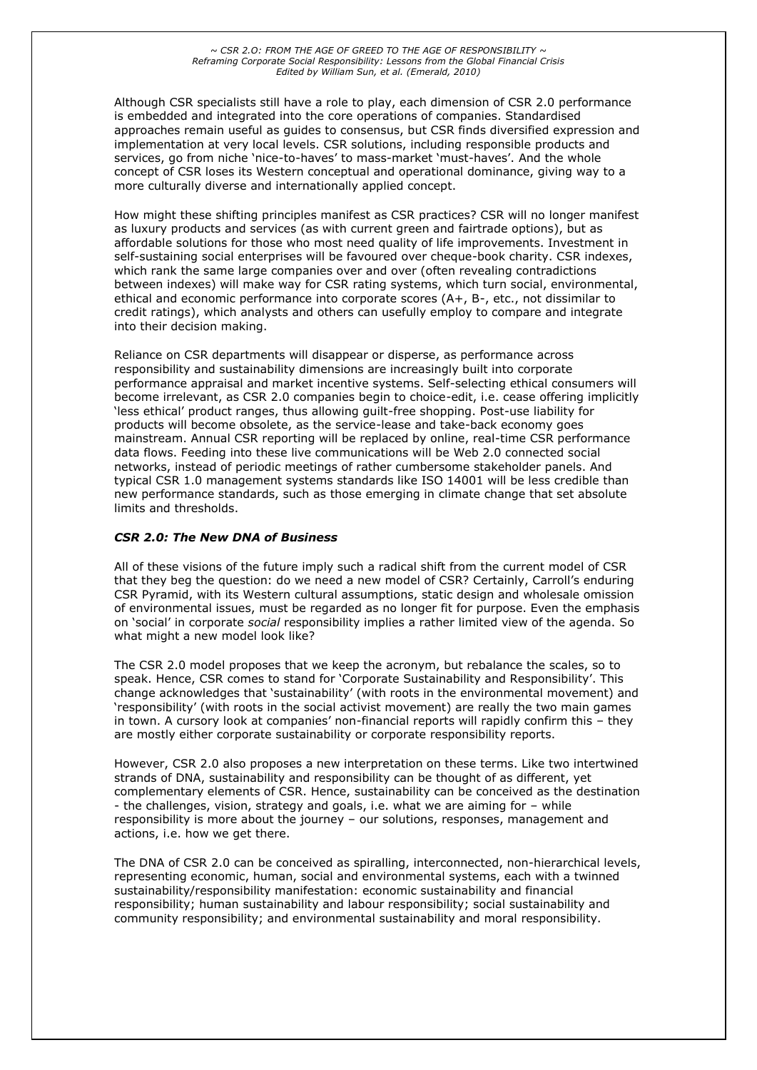Although CSR specialists still have a role to play, each dimension of CSR 2.0 performance is embedded and integrated into the core operations of companies. Standardised approaches remain useful as guides to consensus, but CSR finds diversified expression and implementation at very local levels. CSR solutions, including responsible products and services, go from niche 'nice-to-haves' to mass-market 'must-haves'. And the whole concept of CSR loses its Western conceptual and operational dominance, giving way to a more culturally diverse and internationally applied concept.

How might these shifting principles manifest as CSR practices? CSR will no longer manifest as luxury products and services (as with current green and fairtrade options), but as affordable solutions for those who most need quality of life improvements. Investment in self-sustaining social enterprises will be favoured over cheque-book charity. CSR indexes, which rank the same large companies over and over (often revealing contradictions between indexes) will make way for CSR rating systems, which turn social, environmental, ethical and economic performance into corporate scores (A+, B-, etc., not dissimilar to credit ratings), which analysts and others can usefully employ to compare and integrate into their decision making.

Reliance on CSR departments will disappear or disperse, as performance across responsibility and sustainability dimensions are increasingly built into corporate performance appraisal and market incentive systems. Self-selecting ethical consumers will become irrelevant, as CSR 2.0 companies begin to choice-edit, i.e. cease offering implicitly 'less ethical' product ranges, thus allowing guilt-free shopping. Post-use liability for products will become obsolete, as the service-lease and take-back economy goes mainstream. Annual CSR reporting will be replaced by online, real-time CSR performance data flows. Feeding into these live communications will be Web 2.0 connected social networks, instead of periodic meetings of rather cumbersome stakeholder panels. And typical CSR 1.0 management systems standards like ISO 14001 will be less credible than new performance standards, such as those emerging in climate change that set absolute limits and thresholds.

## *CSR 2.0: The New DNA of Business*

All of these visions of the future imply such a radical shift from the current model of CSR that they beg the question: do we need a new model of CSR? Certainly, Carroll's enduring CSR Pyramid, with its Western cultural assumptions, static design and wholesale omission of environmental issues, must be regarded as no longer fit for purpose. Even the emphasis on 'social' in corporate *social* responsibility implies a rather limited view of the agenda. So what might a new model look like?

The CSR 2.0 model proposes that we keep the acronym, but rebalance the scales, so to speak. Hence, CSR comes to stand for 'Corporate Sustainability and Responsibility'. This change acknowledges that 'sustainability' (with roots in the environmental movement) and 'responsibility' (with roots in the social activist movement) are really the two main games in town. A cursory look at companies' non-financial reports will rapidly confirm this – they are mostly either corporate sustainability or corporate responsibility reports.

However, CSR 2.0 also proposes a new interpretation on these terms. Like two intertwined strands of DNA, sustainability and responsibility can be thought of as different, yet complementary elements of CSR. Hence, sustainability can be conceived as the destination - the challenges, vision, strategy and goals, i.e. what we are aiming for – while responsibility is more about the journey – our solutions, responses, management and actions, i.e. how we get there.

The DNA of CSR 2.0 can be conceived as spiralling, interconnected, non-hierarchical levels, representing economic, human, social and environmental systems, each with a twinned sustainability/responsibility manifestation: economic sustainability and financial responsibility; human sustainability and labour responsibility; social sustainability and community responsibility; and environmental sustainability and moral responsibility.